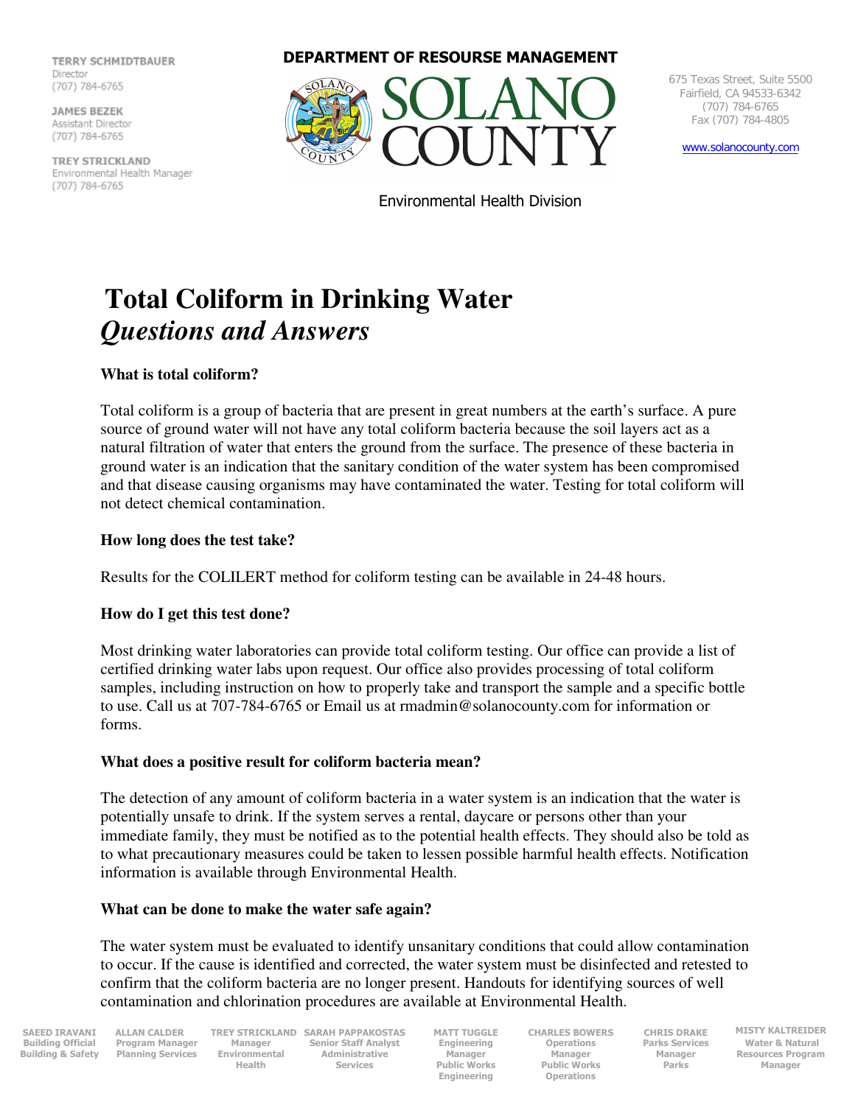**TERRY SCHMIDTRAUFR TERRY SCHOOL** Director

**JAMES BEZEK Assistant Director** (707) 784-6765

Environmental Health Manager **IKEY SIKILKL** (707) 784-6765

**DEPARTMENT OF RESOURSE MANAGEMENT**



675 Texas Street, Suite 5500 Fairfield, CA 94533-6342 (707) 784-6765 Fax (707) 784-4805

www.solanocounty.com

Environmental Health Division

# **Total Coliform in Drinking Water**  *Questions and Answers*

### **What is total coliform?**

Total coliform is a group of bacteria that are present in great numbers at the earth's surface. A pure source of ground water will not have any total coliform bacteria because the soil layers act as a natural filtration of water that enters the ground from the surface. The presence of these bacteria in ground water is an indication that the sanitary condition of the water system has been compromised and that disease causing organisms may have contaminated the water. Testing for total coliform will not detect chemical contamination.

### **How long does the test take?**

Results for the COLILERT method for coliform testing can be available in 24-48 hours.

### **How do I get this test done?**

Most drinking water laboratories can provide total coliform testing. Our office can provide a list of certified drinking water labs upon request. Our office also provides processing of total coliform samples, including instruction on how to properly take and transport the sample and a specific bottle to use. Call us at 707-784-6765 or Email us at rmadmin@solanocounty.com for information or forms.

### **What does a positive result for coliform bacteria mean?**

The detection of any amount of coliform bacteria in a water system is an indication that the water is potentially unsafe to drink. If the system serves a rental, daycare or persons other than your immediate family, they must be notified as to the potential health effects. They should also be told as to what precautionary measures could be taken to lessen possible harmful health effects. Notification information is available through Environmental Health.

### **What can be done to make the water safe again?**

The water system must be evaluated to identify unsanitary conditions that could allow contamination to occur. If the cause is identified and corrected, the water system must be disinfected and retested to confirm that the coliform bacteria are no longer present. Handouts for identifying sources of well contamination and chlorination procedures are available at Environmental Health.

**SAEED IRAVANI Building Official Building & Safety**  **ALLAN CALDER Program Manager Planning Services Manager Environmental Health** 

**TREY STRICKLAND SARAH PAPPAKOSTAS Senior Staff Analyst Administrative Services** 

**MATT TUGGLE Engineering Manager Public Works Engineering** 

**CHARLES BOWERS Operations Manager Public Works Operations** 

**CHRIS DRAKE Parks Services Manager Parks** 

**MISTY KALTREIDER Water & Natural Resources Program Manager**